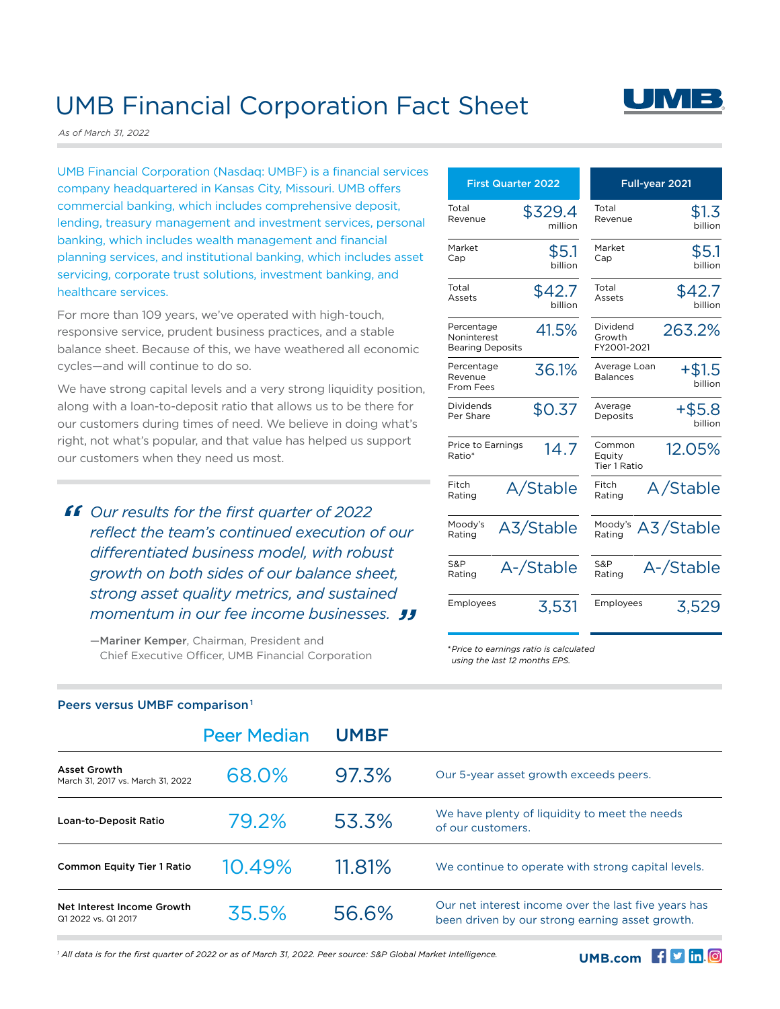## UMB Financial Corporation Fact Sheet

*As of March 31, 2022*

UMB Financial Corporation (Nasdaq: UMBF) is a financial services company headquartered in Kansas City, Missouri. UMB offers commercial banking, which includes comprehensive deposit, lending, treasury management and investment services, personal banking, which includes wealth management and financial planning services, and institutional banking, which includes asset servicing, corporate trust solutions, investment banking, and healthcare services.

For more than 109 years, we've operated with high-touch, responsive service, prudent business practices, and a stable balance sheet. Because of this, we have weathered all economic cycles—and will continue to do so.

We have strong capital levels and a very strong liquidity position, along with a loan-to-deposit ratio that allows us to be there for our customers during times of need. We believe in doing what's right, not what's popular, and that value has helped us support our customers when they need us most.

**66** Our results for the first quarter of 2022 reflect the team's continued execution c *reflect the team's continued execution of our differentiated business model, with robust growth on both sides of our balance sheet, strong asset quality metrics, and sustained*  momentum in our fee income businesses. **JJ**<br>—Mariner Kemper. Chairman. President and

—Mariner Kemper, Chairman, President and Chief Executive Officer, UMB Financial Corporation

| <b>First Quarter 2022</b>           | Full-year 2021                              |  |
|-------------------------------------|---------------------------------------------|--|
| Total                               | Total                                       |  |
| \$329.4                             | \$1.3                                       |  |
| Revenue                             | Revenue                                     |  |
| million                             | hillion                                     |  |
| Market                              | Market                                      |  |
| \$5.1                               | \$5.1                                       |  |
| Cap                                 | Cap                                         |  |
| billion                             | billion                                     |  |
| Total                               | Total                                       |  |
| \$42.7                              | \$42.7                                      |  |
| Assets                              | Assets                                      |  |
| billion                             | hillion                                     |  |
| Percentage                          | Dividend                                    |  |
| 41.5%                               | 263.2%                                      |  |
| Noninterest                         | Growth                                      |  |
| <b>Bearing Deposits</b>             | FY2001-2021                                 |  |
| Percentage                          | Average Loan                                |  |
| 36.1%                               | +\$1.5                                      |  |
| Revenue                             | <b>Balances</b>                             |  |
| From Fees                           | billion                                     |  |
| Dividends<br>\$0.37<br>Per Share    | Average<br>$+$ \$5.8<br>Deposits<br>billion |  |
| Price to Earnings<br>14.7<br>Ratio* | Common<br>12.05%<br>Equity<br>Tier 1 Ratio  |  |
| Fitch                               | Fitch                                       |  |
| A/Stable                            | A/Stable                                    |  |
| Rating                              | Rating                                      |  |
| Moody's                             | Moody's                                     |  |
| A3/Stable                           | A3/Stable                                   |  |
| Rating                              | Rating                                      |  |
| S&P                                 | S&P                                         |  |
| A-/Stable                           | A-/Stable                                   |  |
| Rating                              | Rating                                      |  |
| Employees                           | Employees                                   |  |
| 3,531                               | 3,529                                       |  |

*\* Price to earnings ratio is calculated using the last 12 months EPS.*

|                                                          | <b>Peer Median</b> | <b>UMBF</b> |                                                                                                         |
|----------------------------------------------------------|--------------------|-------------|---------------------------------------------------------------------------------------------------------|
| <b>Asset Growth</b><br>March 31, 2017 vs. March 31, 2022 | 68.0%              | 97.3%       | Our 5-year asset growth exceeds peers.                                                                  |
| Loan-to-Deposit Ratio                                    | 79.2%              | 53.3%       | We have plenty of liquidity to meet the needs<br>of our customers.                                      |
| <b>Common Equity Tier 1 Ratio</b>                        | 10.49%             | 11.81%      | We continue to operate with strong capital levels.                                                      |
| Net Interest Income Growth<br>Q1 2022 vs. Q1 2017        | 35.5%              | 56.6%       | Our net interest income over the last five years has<br>been driven by our strong earning asset growth. |

### Peers versus UMBF comparison 1

*1 All data is for the first quarter of 2022 or as of March 31, 2022. Peer source: S&P Global Market Intelligence.*